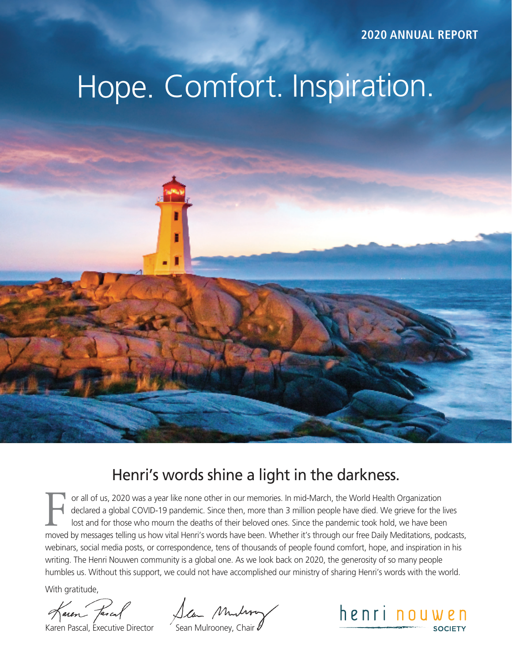**2020 ANNUAL REPORT**

# Hope. Comfort. Inspiration.

### Henri's words shine a light in the darkness.

F or all of us, 2020 was a year like none other in our memories. In mid-March, the World Health Organization declared a global COVID-19 pandemic. Since then, more than 3 million people have died. We grieve for the lives lost and for those who mourn the deaths of their beloved ones. Since the pandemic took hold, we have been moved by messages telling us how vital Henri's words have been. Whether it's through our free Daily Meditations, podcasts, webinars, social media posts, or correspondence, tens of thousands of people found comfort, hope, and inspiration in his writing. The Henri Nouwen community is a global one. As we look back on 2020, the generosity of so many people humbles us. Without this support, we could not have accomplished our ministry of sharing Henri's words with the world.

With gratitude,

Karen Fascal<br>Karen Pascal, Executive Director Sean Mulrooney, Chair

henri nouwen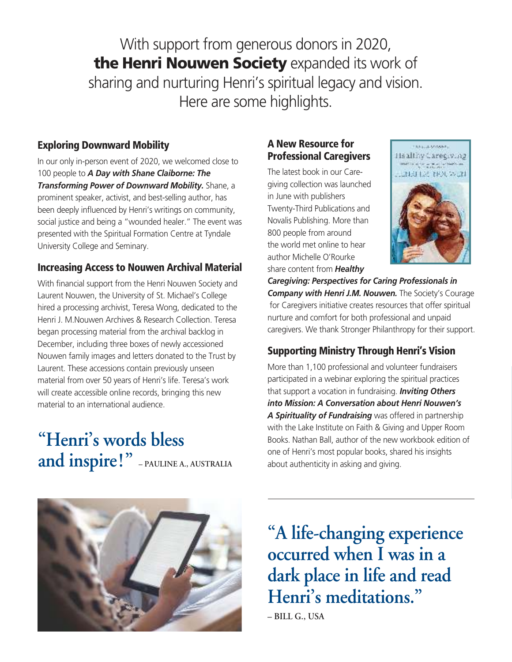With support from generous donors in 2020, the Henri Nouwen Society expanded its work of sharing and nurturing Henri's spiritual legacy and vision. Here are some highlights.

#### Exploring Downward Mobility

In our only in-person event of 2020, we welcomed close to 100 people to *A Day with Shane Claiborne: The Transforming Power of Downward Mobility.* Shane, a prominent speaker, activist, and best-selling author, has been deeply influenced by Henri's writings on community, social justice and being a "wounded healer." The event was presented with the Spiritual Formation Centre at Tyndale University College and Seminary.

#### Increasing Access to Nouwen Archival Material

With financial support from the Henri Nouwen Society and Laurent Nouwen, the University of St. Michael's College hired a processing archivist, Teresa Wong, dedicated to the Henri J. M.Nouwen Archives & Research Collection. Teresa began processing material from the archival backlog in December, including three boxes of newly accessioned Nouwen family images and letters donated to the Trust by Laurent. These accessions contain previously unseen material from over 50 years of Henri's life. Teresa's work will create accessible online records, bringing this new material to an international audience.

# **"Henri's words bless and inspire!" – PAULINE A., AUSTRALIA**

#### A New Resource for Professional Caregivers

The latest book in our Caregiving collection was launched in June with publishers Twenty-Third Publications and Novalis Publishing. More than 800 people from around the world met online to hear author Michelle O'Rourke share content from *Healthy* 



.<br>Die klassissie en die Kar

*Caregiving: Perspectives for Caring Professionals in Company with Henri J.M. Nouwen.* The Society's Courage for Caregivers initiative creates resources that offer spiritual nurture and comfort for both professional and unpaid caregivers. We thank Stronger Philanthropy for their support.

#### Supporting Ministry Through Henri's Vision

More than 1,100 professional and volunteer fundraisers participated in a webinar exploring the spiritual practices that support a vocation in fundraising. *Inviting Others into Mission: A Conversation about Henri Nouwen's A Spirituality of Fundraising* was offered in partnership with the Lake Institute on Faith & Giving and Upper Room Books. Nathan Ball, author of the new workbook edition of one of Henri's most popular books, shared his insights about authenticity in asking and giving.



**"A life-changing experience occurred when I was in a dark place in life and read Henri's meditations." – BILL G., USA**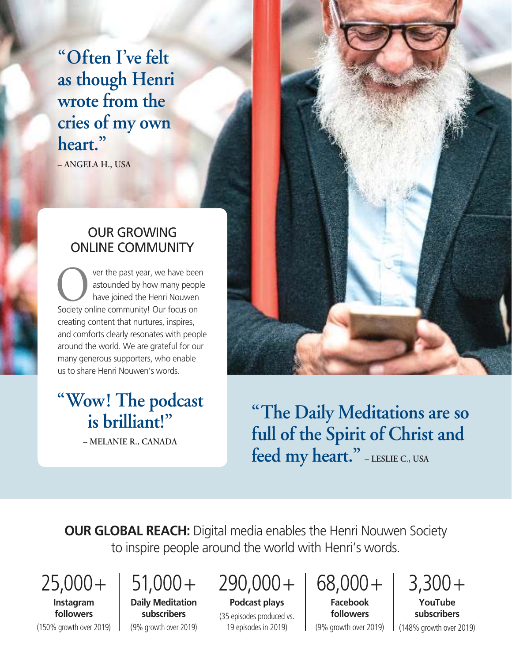**"Often I've felt as though Henri wrote from the cries of my own heart."**

**– ANGELA H., USA**

#### OUR GROWING ONLINE COMMUNITY

 ver the past year, we have been astounded by how many people have joined the Henri Nouwen Society online community! Our focus on creating content that nurtures, inspires, and comforts clearly resonates with people around the world. We are grateful for our many generous supporters, who enable us to share Henri Nouwen's words. O<sup>\*</sup>

## **"Wow! The podcast is brilliant!"**

**– MELANIE R., CANADA**



**"The Daily Meditations are so full of the Spirit of Christ and feed my heart." – LESLIE C., USA**

**OUR GLOBAL REACH:** Digital media enables the Henri Nouwen Society to inspire people around the world with Henri's words.

 $25,000+$ 

# $51,000+$

**Instagram followers** (150% growth over 2019)

**Daily Meditation subscribers**  (9% growth over 2019)

# $290,000+$

**Podcast plays**  (35 episodes produced vs. 19 episodes in 2019)

68,000+ **Facebook** 

**followers** (9% growth over 2019) 3,300+ **YouTube subscribers**

(148% growth over 2019)